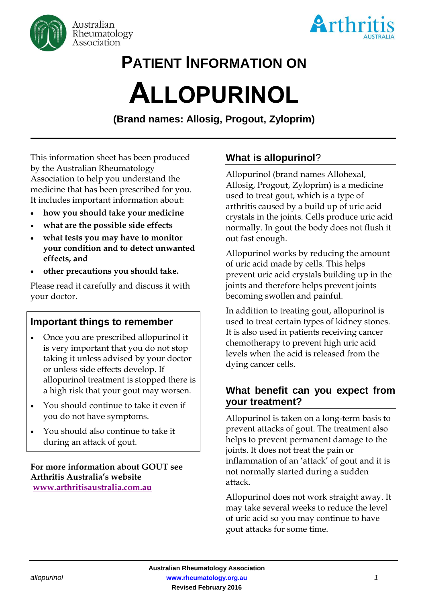



## **PATIENT INFORMATION ON**

# **ALLOPURINOL**

**(Brand names: Allosig, Progout, Zyloprim)**

This information sheet has been produced by the Australian Rheumatology Association to help you understand the medicine that has been prescribed for you. It includes important information about:

- **how you should take your medicine**
- **what are the possible side effects**
- **what tests you may have to monitor your condition and to detect unwanted effects, and**
- **other precautions you should take.**

Please read it carefully and discuss it with your doctor.

#### **Important things to remember**

- Once you are prescribed allopurinol it is very important that you do not stop taking it unless advised by your doctor or unless side effects develop. If allopurinol treatment is stopped there is a high risk that your gout may worsen.
- You should continue to take it even if you do not have symptoms.
- You should also continue to take it during an attack of gout.

**For more information about GOUT see Arthritis Australia's website [www.arthritisaustralia.com.au](http://www.arthritisaustralia.com.au/index.php/arthritis-information/information-sheets.html)**

### **What is allopurinol**?

Allopurinol (brand names Allohexal, Allosig, Progout, Zyloprim) is a medicine used to treat gout, which is a type of arthritis caused by a build up of uric acid crystals in the joints. Cells produce uric acid normally. In gout the body does not flush it out fast enough.

Allopurinol works by reducing the amount of uric acid made by cells. This helps prevent uric acid crystals building up in the joints and therefore helps prevent joints becoming swollen and painful.

In addition to treating gout, allopurinol is used to treat certain types of kidney stones. It is also used in patients receiving cancer chemotherapy to prevent high uric acid levels when the acid is released from the dying cancer cells.

#### **What benefit can you expect from your treatment?**

Allopurinol is taken on a long-term basis to prevent attacks of gout. The treatment also helps to prevent permanent damage to the joints. It does not treat the pain or inflammation of an 'attack' of gout and it is not normally started during a sudden attack.

Allopurinol does not work straight away. It may take several weeks to reduce the level of uric acid so you may continue to have gout attacks for some time.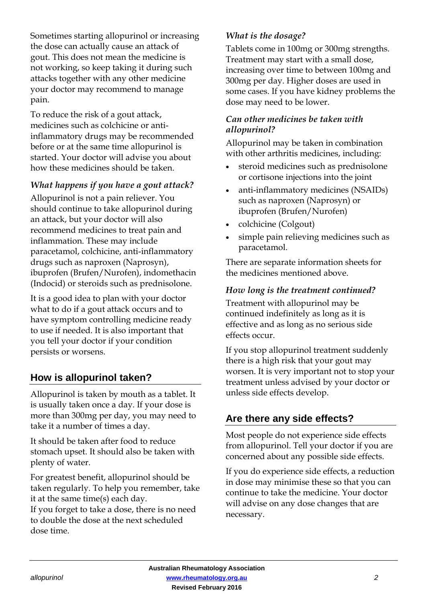Sometimes starting allopurinol or increasing the dose can actually cause an attack of gout. This does not mean the medicine is not working, so keep taking it during such attacks together with any other medicine your doctor may recommend to manage pain.

To reduce the risk of a gout attack, medicines such as colchicine or antiinflammatory drugs may be recommended before or at the same time allopurinol is started. Your doctor will advise you about how these medicines should be taken.

#### *What happens if you have a gout attack?*

Allopurinol is not a pain reliever. You should continue to take allopurinol during an attack, but your doctor will also recommend medicines to treat pain and inflammation. These may include paracetamol, colchicine, anti-inflammatory drugs such as naproxen (Naprosyn), ibuprofen (Brufen/Nurofen), indomethacin (Indocid) or steroids such as prednisolone.

It is a good idea to plan with your doctor what to do if a gout attack occurs and to have symptom controlling medicine ready to use if needed. It is also important that you tell your doctor if your condition persists or worsens.

#### **How is allopurinol taken?**

Allopurinol is taken by mouth as a tablet. It is usually taken once a day. If your dose is more than 300mg per day, you may need to take it a number of times a day.

It should be taken after food to reduce stomach upset. It should also be taken with plenty of water.

For greatest benefit, allopurinol should be taken regularly. To help you remember, take it at the same time(s) each day.

If you forget to take a dose, there is no need to double the dose at the next scheduled dose time.

#### *What is the dosage?*

Tablets come in 100mg or 300mg strengths. Treatment may start with a small dose, increasing over time to between 100mg and 300mg per day. Higher doses are used in some cases. If you have kidney problems the dose may need to be lower.

#### *Can other medicines be taken with allopurinol?*

Allopurinol may be taken in combination with other arthritis medicines, including:

- steroid medicines such as prednisolone or cortisone injections into the joint
- anti-inflammatory medicines (NSAIDs) such as naproxen (Naprosyn) or ibuprofen (Brufen/Nurofen)
- colchicine (Colgout)
- simple pain relieving medicines such as paracetamol.

There are separate information sheets for the medicines mentioned above.

#### *How long is the treatment continued?*

Treatment with allopurinol may be continued indefinitely as long as it is effective and as long as no serious side effects occur.

If you stop allopurinol treatment suddenly there is a high risk that your gout may worsen. It is very important not to stop your treatment unless advised by your doctor or unless side effects develop.

#### **Are there any side effects?**

Most people do not experience side effects from allopurinol. Tell your doctor if you are concerned about any possible side effects.

If you do experience side effects, a reduction in dose may minimise these so that you can continue to take the medicine. Your doctor will advise on any dose changes that are necessary.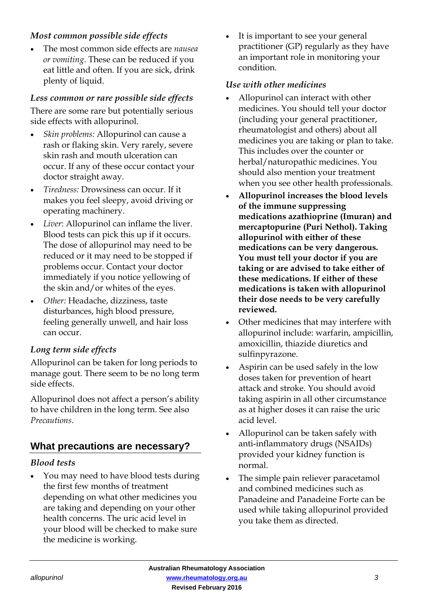#### *Most common possible side effects*

 The most common side effects are *nausea or vomiting*. These can be reduced if you eat little and often. If you are sick, drink plenty of liquid.

#### *Less common or rare possible side effects*

There are some rare but potentially serious side effects with allopurinol.

- *Skin problems:* Allopurinol can cause a rash or flaking skin. Very rarely, severe skin rash and mouth ulceration can occur. If any of these occur contact your doctor straight away.
- *Tiredness:* Drowsiness can occur. If it makes you feel sleepy, avoid driving or operating machinery.
- *Liver*: Allopurinol can inflame the liver. Blood tests can pick this up if it occurs. The dose of allopurinol may need to be reduced or it may need to be stopped if problems occur. Contact your doctor immediately if you notice yellowing of the skin and/or whites of the eyes.
- *Other:* Headache, dizziness, taste disturbances, high blood pressure, feeling generally unwell, and hair loss can occur.

#### *Long term side effects*

Allopurinol can be taken for long periods to manage gout. There seem to be no long term side effects.

Allopurinol does not affect a person's ability to have children in the long term. See also *Precautions*.

#### **What precautions are necessary?**

#### *Blood tests*

 You may need to have blood tests during the first few months of treatment depending on what other medicines you are taking and depending on your other health concerns. The uric acid level in your blood will be checked to make sure the medicine is working.

 It is important to see your general practitioner (GP) regularly as they have an important role in monitoring your condition.

#### *Use with other medicines*

- Allopurinol can interact with other medicines. You should tell your doctor (including your general practitioner, rheumatologist and others) about all medicines you are taking or plan to take. This includes over the counter or herbal/naturopathic medicines. You should also mention your treatment when you see other health professionals.
- **Allopurinol increases the blood levels of the immune suppressing medications azathioprine (Imuran) and mercaptopurine (Puri Nethol). Taking allopurinol with either of these medications can be very dangerous. You must tell your doctor if you are taking or are advised to take either of these medications. If either of these medications is taken with allopurinol their dose needs to be very carefully reviewed.**
- Other medicines that may interfere with allopurinol include: warfarin, ampicillin, amoxicillin, thiazide diuretics and sulfinpyrazone.
- Aspirin can be used safely in the low doses taken for prevention of heart attack and stroke. You should avoid taking aspirin in all other circumstance as at higher doses it can raise the uric acid level.
- Allopurinol can be taken safely with anti-inflammatory drugs (NSAIDs) provided your kidney function is normal.
- The simple pain reliever paracetamol and combined medicines such as Panadeine and Panadeine Forte can be used while taking allopurinol provided you take them as directed.